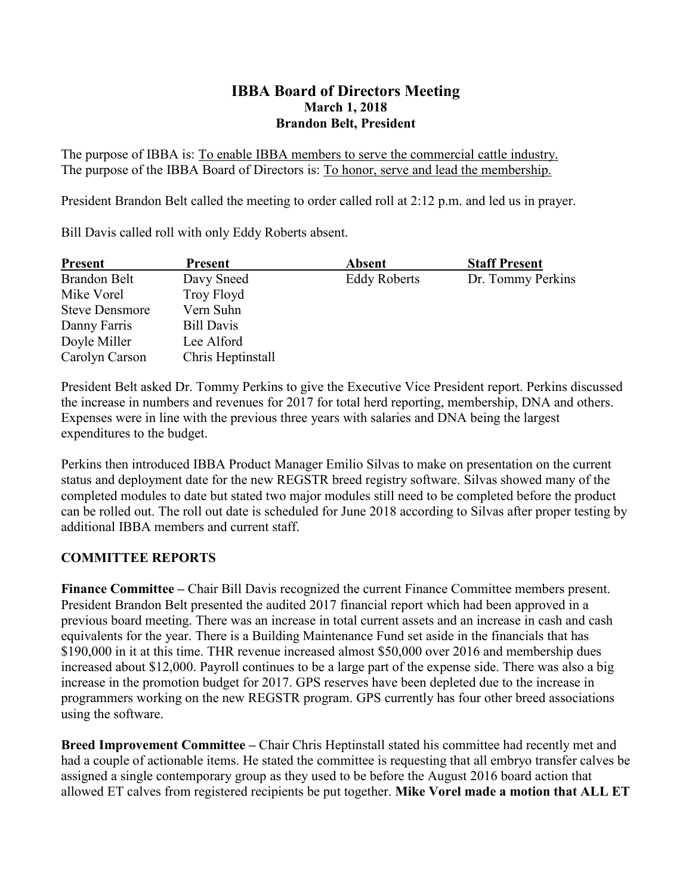### **IBBA Board of Directors Meeting March 1, 2018 Brandon Belt, President**

The purpose of IBBA is: To enable IBBA members to serve the commercial cattle industry. The purpose of the IBBA Board of Directors is: To honor, serve and lead the membership.

President Brandon Belt called the meeting to order called roll at 2:12 p.m. and led us in prayer.

Bill Davis called roll with only Eddy Roberts absent.

| <b>Present</b>        | <b>Present</b>    | <b>Absent</b>       | <b>Staff Present</b> |
|-----------------------|-------------------|---------------------|----------------------|
| Brandon Belt          | Davy Sneed        | <b>Eddy Roberts</b> | Dr. Tommy Perkins    |
| Mike Vorel            | Troy Floyd        |                     |                      |
| <b>Steve Densmore</b> | Vern Suhn         |                     |                      |
| Danny Farris          | Bill Davis        |                     |                      |
| Doyle Miller          | Lee Alford        |                     |                      |
| Carolyn Carson        | Chris Heptinstall |                     |                      |

President Belt asked Dr. Tommy Perkins to give the Executive Vice President report. Perkins discussed the increase in numbers and revenues for 2017 for total herd reporting, membership, DNA and others. Expenses were in line with the previous three years with salaries and DNA being the largest expenditures to the budget.

Perkins then introduced IBBA Product Manager Emilio Silvas to make on presentation on the current status and deployment date for the new REGSTR breed registry software. Silvas showed many of the completed modules to date but stated two major modules still need to be completed before the product can be rolled out. The roll out date is scheduled for June 2018 according to Silvas after proper testing by additional IBBA members and current staff.

### **COMMITTEE REPORTS**

**Finance Committee –** Chair Bill Davis recognized the current Finance Committee members present. President Brandon Belt presented the audited 2017 financial report which had been approved in a previous board meeting. There was an increase in total current assets and an increase in cash and cash equivalents for the year. There is a Building Maintenance Fund set aside in the financials that has \$190,000 in it at this time. THR revenue increased almost \$50,000 over 2016 and membership dues increased about \$12,000. Payroll continues to be a large part of the expense side. There was also a big increase in the promotion budget for 2017. GPS reserves have been depleted due to the increase in programmers working on the new REGSTR program. GPS currently has four other breed associations using the software.

**Breed Improvement Committee –** Chair Chris Heptinstall stated his committee had recently met and had a couple of actionable items. He stated the committee is requesting that all embryo transfer calves be assigned a single contemporary group as they used to be before the August 2016 board action that allowed ET calves from registered recipients be put together. **Mike Vorel made a motion that ALL ET**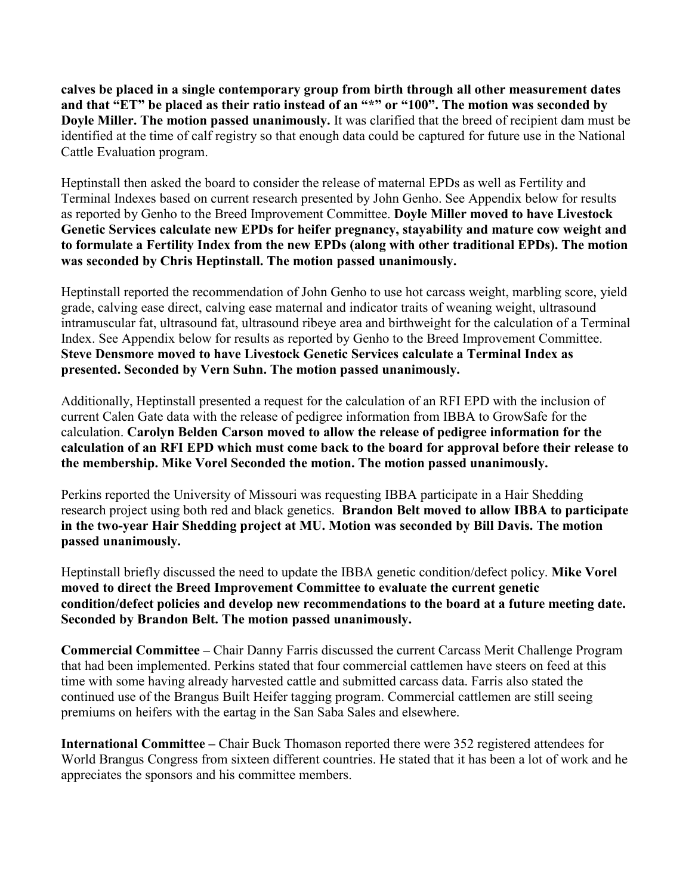**calves be placed in a single contemporary group from birth through all other measurement dates** and that "ET" be placed as their ratio instead of an "\*" or "100". The motion was seconded by **Doyle Miller. The motion passed unanimously.** It was clarified that the breed of recipient dam must be identified at the time of calf registry so that enough data could be captured for future use in the National Cattle Evaluation program.

Heptinstall then asked the board to consider the release of maternal EPDs as well as Fertility and Terminal Indexes based on current research presented by John Genho. See Appendix below for results as reported by Genho to the Breed Improvement Committee. **Doyle Miller moved to have Livestock Genetic Services calculate new EPDs for heifer pregnancy, stayability and mature cow weight and to formulate a Fertility Index from the new EPDs (along with other traditional EPDs). The motion was seconded by Chris Heptinstall. The motion passed unanimously.**

Heptinstall reported the recommendation of John Genho to use hot carcass weight, marbling score, yield grade, calving ease direct, calving ease maternal and indicator traits of weaning weight, ultrasound intramuscular fat, ultrasound fat, ultrasound ribeye area and birthweight for the calculation of a Terminal Index. See Appendix below for results as reported by Genho to the Breed Improvement Committee. **Steve Densmore moved to have Livestock Genetic Services calculate a Terminal Index as presented. Seconded by Vern Suhn. The motion passed unanimously.**

Additionally, Heptinstall presented a request for the calculation of an RFI EPD with the inclusion of current Calen Gate data with the release of pedigree information from IBBA to GrowSafe for the calculation. **Carolyn Belden Carson moved to allow the release of pedigree information for the calculation of an RFI EPD which must come back to the board for approval before their release to the membership. Mike Vorel Seconded the motion. The motion passed unanimously.**

Perkins reported the University of Missouri was requesting IBBA participate in a Hair Shedding research project using both red and black genetics. **Brandon Belt moved to allow IBBA to participate in the two-year Hair Shedding project at MU. Motion was seconded by Bill Davis. The motion passed unanimously.**

Heptinstall briefly discussed the need to update the IBBA genetic condition/defect policy. **Mike Vorel moved to direct the Breed Improvement Committee to evaluate the current genetic condition/defect policies and develop new recommendations to the board at a future meeting date. Seconded by Brandon Belt. The motion passed unanimously.**

**Commercial Committee –** Chair Danny Farris discussed the current Carcass Merit Challenge Program that had been implemented. Perkins stated that four commercial cattlemen have steers on feed at this time with some having already harvested cattle and submitted carcass data. Farris also stated the continued use of the Brangus Built Heifer tagging program. Commercial cattlemen are still seeing premiums on heifers with the eartag in the San Saba Sales and elsewhere.

**International Committee –** Chair Buck Thomason reported there were 352 registered attendees for World Brangus Congress from sixteen different countries. He stated that it has been a lot of work and he appreciates the sponsors and his committee members.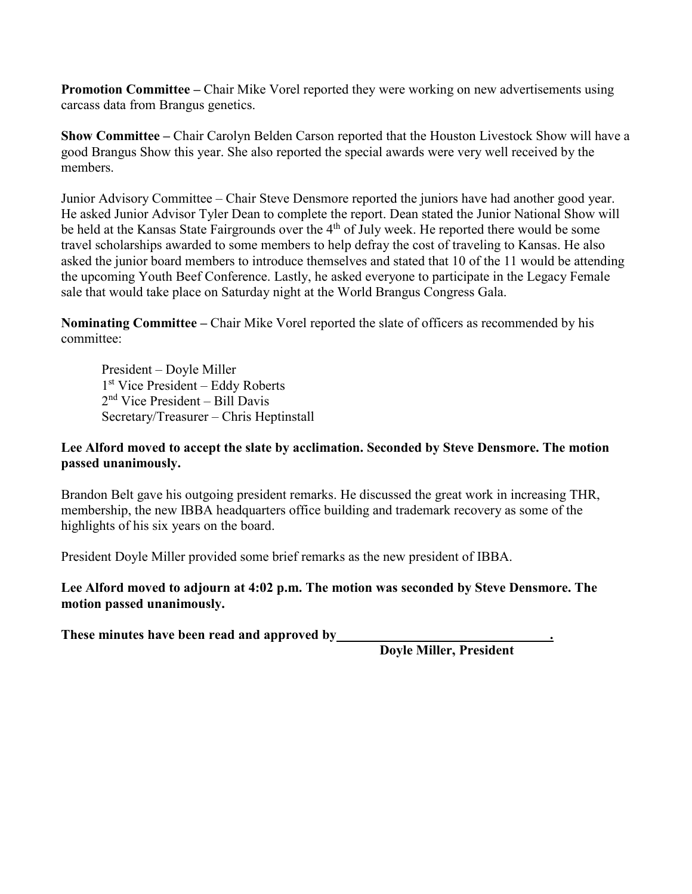**Promotion Committee – Chair Mike Vorel reported they were working on new advertisements using** carcass data from Brangus genetics.

**Show Committee –** Chair Carolyn Belden Carson reported that the Houston Livestock Show will have a good Brangus Show this year. She also reported the special awards were very well received by the members.

Junior Advisory Committee – Chair Steve Densmore reported the juniors have had another good year. He asked Junior Advisor Tyler Dean to complete the report. Dean stated the Junior National Show will be held at the Kansas State Fairgrounds over the 4<sup>th</sup> of July week. He reported there would be some travel scholarships awarded to some members to help defray the cost of traveling to Kansas. He also asked the junior board members to introduce themselves and stated that 10 of the 11 would be attending the upcoming Youth Beef Conference. Lastly, he asked everyone to participate in the Legacy Female sale that would take place on Saturday night at the World Brangus Congress Gala.

**Nominating Committee –** Chair Mike Vorel reported the slate of officers as recommended by his committee:

President – Doyle Miller 1st Vice President – Eddy Roberts 2nd Vice President – Bill Davis Secretary/Treasurer – Chris Heptinstall

#### **Lee Alford moved to accept the slate by acclimation. Seconded by Steve Densmore. The motion passed unanimously.**

Brandon Belt gave his outgoing president remarks. He discussed the great work in increasing THR, membership, the new IBBA headquarters office building and trademark recovery as some of the highlights of his six years on the board.

President Doyle Miller provided some brief remarks as the new president of IBBA.

#### **Lee Alford moved to adjourn at 4:02 p.m. The motion was seconded by Steve Densmore. The motion passed unanimously.**

**These minutes have been read and approved by .**

 **Doyle Miller, President**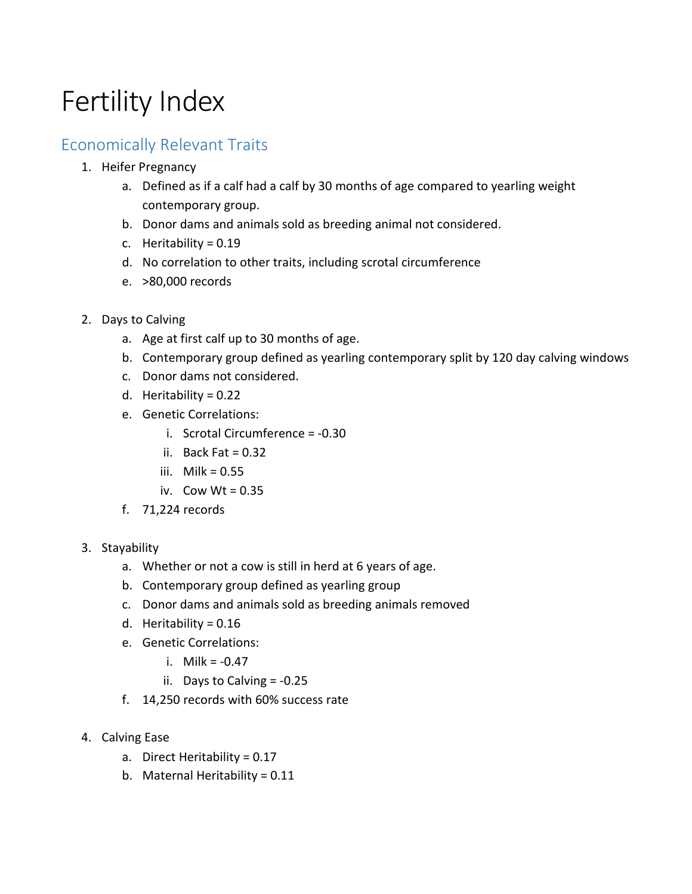# Fertility Index

## Economically Relevant Traits

- 1. Heifer Pregnancy
	- a. Defined as if a calf had a calf by 30 months of age compared to yearling weight contemporary group.
	- b. Donor dams and animals sold as breeding animal not considered.
	- c. Heritability = 0.19
	- d. No correlation to other traits, including scrotal circumference
	- e. >80,000 records
- 2. Days to Calving
	- a. Age at first calf up to 30 months of age.
	- b. Contemporary group defined as yearling contemporary split by 120 day calving windows
	- c. Donor dams not considered.
	- d. Heritability = 0.22
	- e. Genetic Correlations:
		- i. Scrotal Circumference = -0.30
		- ii. Back Fat  $= 0.32$
		- iii. Milk =  $0.55$
		- iv. Cow  $Wt = 0.35$
	- f. 71,224 records
- 3. Stayability
	- a. Whether or not a cow is still in herd at 6 years of age.
	- b. Contemporary group defined as yearling group
	- c. Donor dams and animals sold as breeding animals removed
	- d. Heritability =  $0.16$
	- e. Genetic Correlations:
		- i. Milk = -0.47
		- ii. Days to Calving = -0.25
	- f. 14,250 records with 60% success rate
- 4. Calving Ease
	- a. Direct Heritability = 0.17
	- b. Maternal Heritability = 0.11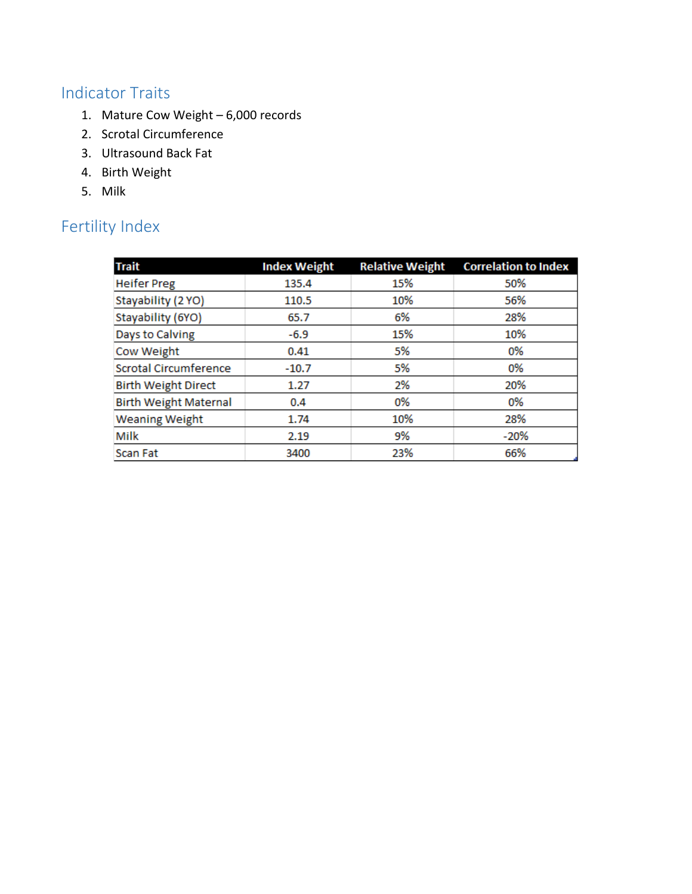# Indicator Traits

- 1. Mature Cow Weight 6,000 records
- 2. Scrotal Circumference
- 3. Ultrasound Back Fat
- 4. Birth Weight
- 5. Milk

# Fertility Index

| <b>Trait</b>                 | <b>Index Weight</b> | <b>Relative Weight</b> | <b>Correlation to Index</b> |
|------------------------------|---------------------|------------------------|-----------------------------|
| <b>Heifer Preg</b>           | 135.4               | 15%                    | 50%                         |
| Stayability (2 YO)           | 110.5               | 10%                    | 56%                         |
| Stayability (6YO)            | 65.7                | 6%                     | 28%                         |
| Days to Calving              | $-6.9$              | 15%                    | 10%                         |
| Cow Weight                   | 0.41                | 5%                     | 0%                          |
| <b>Scrotal Circumference</b> | $-10.7$             | 5%                     | 0%                          |
| <b>Birth Weight Direct</b>   | 1.27                | 2%                     | 20%                         |
| <b>Birth Weight Maternal</b> | 0.4                 | 0%                     | 0%                          |
| <b>Weaning Weight</b>        | 1.74                | 10%                    | 28%                         |
| Milk                         | 2.19                | 9%                     | $-20%$                      |
| <b>Scan Fat</b>              | 3400                | 23%                    | 66%                         |